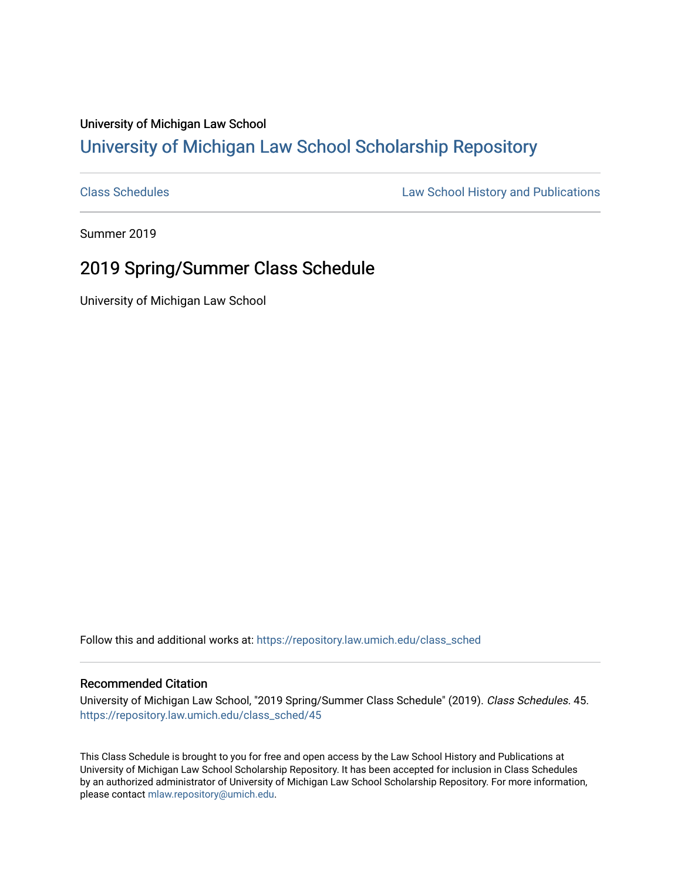## University of Michigan Law School [University of Michigan Law School Scholarship Repository](https://repository.law.umich.edu/)

[Class Schedules](https://repository.law.umich.edu/class_sched) **Law School History and Publications** 

Summer 2019

## 2019 Spring/Summer Class Schedule

University of Michigan Law School

Follow this and additional works at: [https://repository.law.umich.edu/class\\_sched](https://repository.law.umich.edu/class_sched?utm_source=repository.law.umich.edu%2Fclass_sched%2F45&utm_medium=PDF&utm_campaign=PDFCoverPages) 

## Recommended Citation

University of Michigan Law School, "2019 Spring/Summer Class Schedule" (2019). Class Schedules. 45. [https://repository.law.umich.edu/class\\_sched/45](https://repository.law.umich.edu/class_sched/45?utm_source=repository.law.umich.edu%2Fclass_sched%2F45&utm_medium=PDF&utm_campaign=PDFCoverPages)

This Class Schedule is brought to you for free and open access by the Law School History and Publications at University of Michigan Law School Scholarship Repository. It has been accepted for inclusion in Class Schedules by an authorized administrator of University of Michigan Law School Scholarship Repository. For more information, please contact [mlaw.repository@umich.edu.](mailto:mlaw.repository@umich.edu)